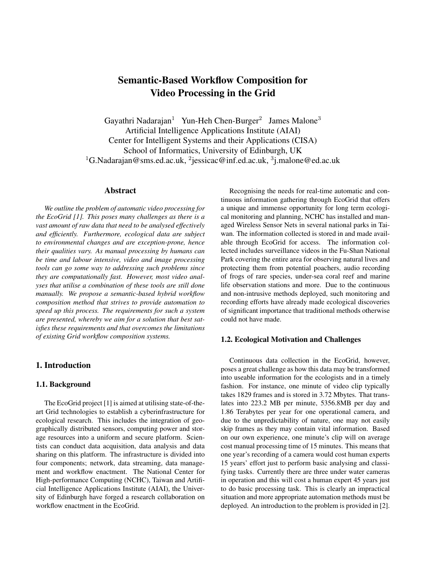# Semantic-Based Workflow Composition for Video Processing in the Grid

Gayathri Nadarajan<sup>1</sup> Yun-Heh Chen-Burger<sup>2</sup> James Malone<sup>3</sup> Artificial Intelligence Applications Institute (AIAI) Center for Intelligent Systems and their Applications (CISA) School of Informatics, University of Edinburgh, UK  ${}^{1}$ G.Nadarajan@sms.ed.ac.uk, <sup>2</sup>jessicac@inf.ed.ac.uk, <sup>3</sup>j.malone@ed.ac.uk

### Abstract

*We outline the problem of automatic video processing for the EcoGrid [1]. This poses many challenges as there is a vast amount of raw data that need to be analysed effectively and efficiently. Furthermore, ecological data are subject to environmental changes and are exception-prone, hence their qualities vary. As manual processing by humans can be time and labour intensive, video and image processing tools can go some way to addressing such problems since they are computationally fast. However, most video analyses that utilise a combination of these tools are still done manually. We propose a semantic-based hybrid workflow composition method that strives to provide automation to speed up this process. The requirements for such a system are presented, whereby we aim for a solution that best satisfies these requirements and that overcomes the limitations of existing Grid workflow composition systems.*

# 1. Introduction

# 1.1. Background

The EcoGrid project [1] is aimed at utilising state-of-theart Grid technologies to establish a cyberinfrastructure for ecological research. This includes the integration of geographically distributed sensors, computing power and storage resources into a uniform and secure platform. Scientists can conduct data acquisition, data analysis and data sharing on this platform. The infrastructure is divided into four components; network, data streaming, data management and workflow enactment. The National Center for High-performance Computing (NCHC), Taiwan and Artificial Intelligence Applications Institute (AIAI), the University of Edinburgh have forged a research collaboration on workflow enactment in the EcoGrid.

Recognising the needs for real-time automatic and continuous information gathering through EcoGrid that offers a unique and immense opportunity for long term ecological monitoring and planning, NCHC has installed and managed Wireless Sensor Nets in several national parks in Taiwan. The information collected is stored in and made available through EcoGrid for access. The information collected includes surveillance videos in the Fu-Shan National Park covering the entire area for observing natural lives and protecting them from potential poachers, audio recording of frogs of rare species, under-sea coral reef and marine life observation stations and more. Due to the continuous and non-intrusive methods deployed, such monitoring and recording efforts have already made ecological discoveries of significant importance that traditional methods otherwise could not have made.

#### 1.2. Ecological Motivation and Challenges

Continuous data collection in the EcoGrid, however, poses a great challenge as how this data may be transformed into useable information for the ecologists and in a timely fashion. For instance, one minute of video clip typically takes 1829 frames and is stored in 3.72 Mbytes. That translates into 223.2 MB per minute, 5356.8MB per day and 1.86 Terabytes per year for one operational camera, and due to the unpredictability of nature, one may not easily skip frames as they may contain vital information. Based on our own experience, one minute's clip will on average cost manual processing time of 15 minutes. This means that one year's recording of a camera would cost human experts 15 years' effort just to perform basic analysing and classifying tasks. Currently there are three under water cameras in operation and this will cost a human expert 45 years just to do basic processing task. This is clearly an impractical situation and more appropriate automation methods must be deployed. An introduction to the problem is provided in [2].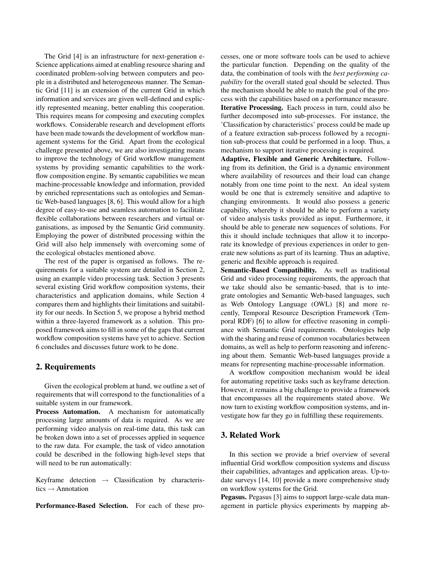The Grid [4] is an infrastructure for next-generation e-Science applications aimed at enabling resource sharing and coordinated problem-solving between computers and people in a distributed and heterogeneous manner. The Semantic Grid [11] is an extension of the current Grid in which information and services are given well-defined and explicitly represented meaning, better enabling this cooperation. This requires means for composing and executing complex workflows. Considerable research and development efforts have been made towards the development of workflow management systems for the Grid. Apart from the ecological challenge presented above, we are also investigating means to improve the technology of Grid workflow management systems by providing semantic capabilities to the workflow composition engine. By semantic capabilities we mean machine-processable knowledge and information, provided by enriched representations such as ontologies and Semantic Web-based languages [8, 6]. This would allow for a high degree of easy-to-use and seamless automation to facilitate flexible collaborations between researchers and virtual organisations, as imposed by the Semantic Grid community. Employing the power of distributed processing within the Grid will also help immensely with overcoming some of the ecological obstacles mentioned above.

The rest of the paper is organised as follows. The requirements for a suitable system are detailed in Section 2, using an example video processing task. Section 3 presents several existing Grid workflow composition systems, their characteristics and application domains, while Section 4 compares them and highlights their limitations and suitability for our needs. In Section 5, we propose a hybrid method within a three-layered framework as a solution. This proposed framework aims to fill in some of the gaps that current workflow composition systems have yet to achieve. Section 6 concludes and discusses future work to be done.

### 2. Requirements

Given the ecological problem at hand, we outline a set of requirements that will correspond to the functionalities of a suitable system in our framework.

Process Automation. A mechanism for automatically processing large amounts of data is required. As we are performing video analysis on real-time data, this task can be broken down into a set of processes applied in sequence to the raw data. For example, the task of video annotation could be described in the following high-level steps that will need to be run automatically:

Keyframe detection  $\rightarrow$  Classification by characteristics  $\rightarrow$  Annotation

Performance-Based Selection. For each of these pro-

cesses, one or more software tools can be used to achieve the particular function. Depending on the quality of the data, the combination of tools with the *best performing capability* for the overall stated goal should be selected. Thus the mechanism should be able to match the goal of the process with the capabilities based on a performance measure. Iterative Processing. Each process in turn, could also be further decomposed into sub-processes. For instance, the 'Classification by characteristics' process could be made up of a feature extraction sub-process followed by a recognition sub-process that could be performed in a loop. Thus, a mechanism to support iterative processing is required.

Adaptive, Flexible and Generic Architecture. Following from its definition, the Grid is a dynamic environment where availability of resources and their load can change notably from one time point to the next. An ideal system would be one that is extremely sensitive and adaptive to changing environments. It would also possess a generic capability, whereby it should be able to perform a variety of video analysis tasks provided as input. Furthermore, it should be able to generate new sequences of solutions. For this it should include techniques that allow it to incorporate its knowledge of previous experiences in order to generate new solutions as part of its learning. Thus an adaptive, generic and flexible approach is required.

Semantic-Based Compatibility. As well as traditional Grid and video processing requirements, the approach that we take should also be semantic-based, that is to integrate ontologies and Semantic Web-based languages, such as Web Ontology Language (OWL) [8] and more recently, Temporal Resource Description Framework (Temporal RDF) [6] to allow for effective reasoning in compliance with Semantic Grid requirements. Ontologies help with the sharing and reuse of common vocabularies between domains, as well as help to perform reasoning and inferencing about them. Semantic Web-based languages provide a means for representing machine-processable information.

A workflow composition mechanism would be ideal for automating repetitive tasks such as keyframe detection. However, it remains a big challenge to provide a framework that encompasses all the requirements stated above. We now turn to existing workflow composition systems, and investigate how far they go in fulfilling these requirements.

# 3. Related Work

In this section we provide a brief overview of several influential Grid workflow composition systems and discuss their capabilities, advantages and application areas. Up-todate surveys [14, 10] provide a more comprehensive study on workflow systems for the Grid.

Pegasus. Pegasus [3] aims to support large-scale data management in particle physics experiments by mapping ab-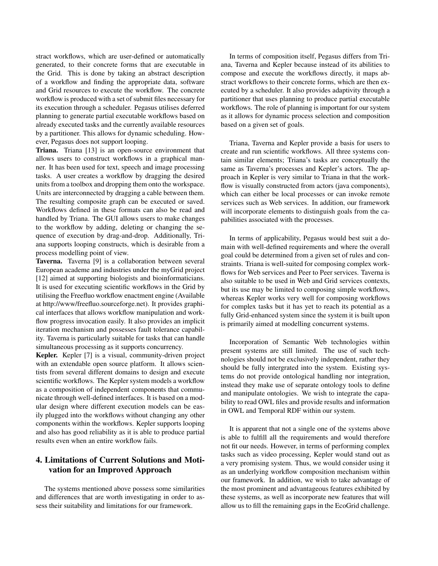stract workflows, which are user-defined or automatically generated, to their concrete forms that are executable in the Grid. This is done by taking an abstract description of a workflow and finding the appropriate data, software and Grid resources to execute the workflow. The concrete workflow is produced with a set of submit files necessary for its execution through a scheduler. Pegasus utilises deferred planning to generate partial executable workflows based on already executed tasks and the currently available resources by a partitioner. This allows for dynamic scheduling. However, Pegasus does not support looping.

Triana. Triana [13] is an open-source environment that allows users to construct workflows in a graphical manner. It has been used for text, speech and image processing tasks. A user creates a workflow by dragging the desired units from a toolbox and dropping them onto the workspace. Units are interconnected by dragging a cable between them. The resulting composite graph can be executed or saved. Workflows defined in these formats can also be read and handled by Triana. The GUI allows users to make changes to the workflow by adding, deleting or changing the sequence of execution by drag-and-drop. Additionally, Triana supports looping constructs, which is desirable from a process modelling point of view.

Taverna. Taverna [9] is a collaboration between several European academe and industries under the myGrid project [12] aimed at supporting biologists and bioinformaticians. It is used for executing scientific workflows in the Grid by utilising the Freefluo workflow enactment engine (Available at http://www/freefluo.sourceforge.net). It provides graphical interfaces that allows workflow manipulation and workflow progress invocation easily. It also provides an implicit iteration mechanism and possesses fault tolerance capability. Taverna is particularly suitable for tasks that can handle simultaneous processing as it supports concurrency.

Kepler. Kepler [7] is a visual, community-driven project with an extendable open source platform. It allows scientists from several different domains to design and execute scientific workflows. The Kepler system models a workflow as a composition of independent components that communicate through well-defined interfaces. It is based on a modular design where different execution models can be easily plugged into the workflows without changing any other components within the workflows. Kepler supports looping and also has good reliability as it is able to produce partial results even when an entire workflow fails.

# 4. Limitations of Current Solutions and Motivation for an Improved Approach

The systems mentioned above possess some similarities and differences that are worth investigating in order to assess their suitability and limitations for our framework.

In terms of composition itself, Pegasus differs from Triana, Taverna and Kepler because instead of its abilities to compose and execute the workflows directly, it maps abstract workflows to their concrete forms, which are then executed by a scheduler. It also provides adaptivity through a partitioner that uses planning to produce partial executable workflows. The role of planning is important for our system as it allows for dynamic process selection and composition based on a given set of goals.

Triana, Taverna and Kepler provide a basis for users to create and run scientific workflows. All three systems contain similar elements; Triana's tasks are conceptually the same as Taverna's processes and Kepler's actors. The approach in Kepler is very similar to Triana in that the workflow is visually constructed from actors (java components), which can either be local processes or can invoke remote services such as Web services. In addition, our framework will incorporate elements to distinguish goals from the capabilities associated with the processes.

In terms of applicability, Pegasus would best suit a domain with well-defined requirements and where the overall goal could be determined from a given set of rules and constraints. Triana is well-suited for composing complex workflows for Web services and Peer to Peer services. Taverna is also suitable to be used in Web and Grid services contexts, but its use may be limited to composing simple workflows, whereas Kepler works very well for composing workflows for complex tasks but it has yet to reach its potential as a fully Grid-enhanced system since the system it is built upon is primarily aimed at modelling concurrent systems.

Incorporation of Semantic Web technologies within present systems are still limited. The use of such technologies should not be exclusively independent, rather they should be fully intergrated into the system. Existing systems do not provide ontological handling nor integration, instead they make use of separate ontology tools to define and manipulate ontologies. We wish to integrate the capability to read OWL files and provide results and information in OWL and Temporal RDF within our system.

It is apparent that not a single one of the systems above is able to fulfill all the requirements and would therefore not fit our needs. However, in terms of performing complex tasks such as video processing, Kepler would stand out as a very promising system. Thus, we would consider using it as an underlying workflow composition mechanism within our framework. In addition, we wish to take advantage of the most prominent and advantageous features exhibited by these systems, as well as incorporate new features that will allow us to fill the remaining gaps in the EcoGrid challenge.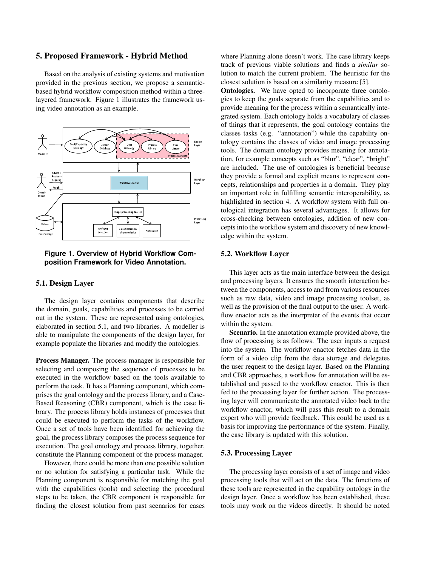### 5. Proposed Framework - Hybrid Method

Based on the analysis of existing systems and motivation provided in the previous section, we propose a semanticbased hybrid workflow composition method within a threelayered framework. Figure 1 illustrates the framework using video annotation as an example.



**Figure 1. Overview of Hybrid Workflow Composition Framework for Video Annotation.**

### 5.1. Design Layer

The design layer contains components that describe the domain, goals, capabilities and processes to be carried out in the system. These are represented using ontologies, elaborated in section 5.1, and two libraries. A modeller is able to manipulate the components of the design layer, for example populate the libraries and modify the ontologies.

Process Manager. The process manager is responsible for selecting and composing the sequence of processes to be executed in the workflow based on the tools available to perform the task. It has a Planning component, which comprises the goal ontology and the process library, and a Case-Based Reasoning (CBR) component, which is the case library. The process library holds instances of processes that could be executed to perform the tasks of the workflow. Once a set of tools have been identified for achieving the goal, the process library composes the process sequence for execution. The goal ontology and process library, together, constitute the Planning component of the process manager.

However, there could be more than one possible solution or no solution for satisfying a particular task. While the Planning component is responsible for matching the goal with the capabilities (tools) and selecting the procedural steps to be taken, the CBR component is responsible for finding the closest solution from past scenarios for cases where Planning alone doesn't work. The case library keeps track of previous viable solutions and finds a *similar* solution to match the current problem. The heuristic for the closest solution is based on a similarity measure [5].

Ontologies. We have opted to incorporate three ontologies to keep the goals separate from the capabilities and to provide meaning for the process within a semantically integrated system. Each ontology holds a vocabulary of classes of things that it represents; the goal ontology contains the classes tasks (e.g. "annotation") while the capability ontology contains the classes of video and image processing tools. The domain ontology provides meaning for annotation, for example concepts such as "blur", "clear", "bright" are included. The use of ontologies is beneficial because they provide a formal and explicit means to represent concepts, relationships and properties in a domain. They play an important role in fulfilling semantic interoperability, as highlighted in section 4. A workflow system with full ontological integration has several advantages. It allows for cross-checking between ontologies, addition of new concepts into the workflow system and discovery of new knowledge within the system.

### 5.2. Workflow Layer

This layer acts as the main interface between the design and processing layers. It ensures the smooth interaction between the components, access to and from various resources such as raw data, video and image processing toolset, as well as the provision of the final output to the user. A workflow enactor acts as the interpreter of the events that occur within the system.

Scenario. In the annotation example provided above, the flow of processing is as follows. The user inputs a request into the system. The workflow enactor fetches data in the form of a video clip from the data storage and delegates the user request to the design layer. Based on the Planning and CBR approaches, a workflow for annotation will be established and passed to the workflow enactor. This is then fed to the processing layer for further action. The processing layer will communicate the annotated video back to the workflow enactor, which will pass this result to a domain expert who will provide feedback. This could be used as a basis for improving the performance of the system. Finally, the case library is updated with this solution.

#### 5.3. Processing Layer

The processing layer consists of a set of image and video processing tools that will act on the data. The functions of these tools are represented in the capability ontology in the design layer. Once a workflow has been established, these tools may work on the videos directly. It should be noted